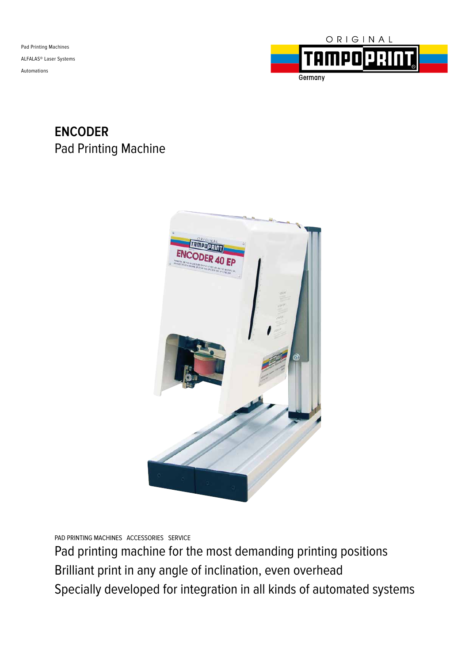Pad Printing Machines ALFALAS® Laser Systems Automations



# **ENCODER** Pad Printing Machine



PAD PRINTING MACHINES ACCESSORIES SERVICE

Pad printing machine for the most demanding printing positions Brilliant print in any angle of inclination, even overhead Specially developed for integration in all kinds of automated systems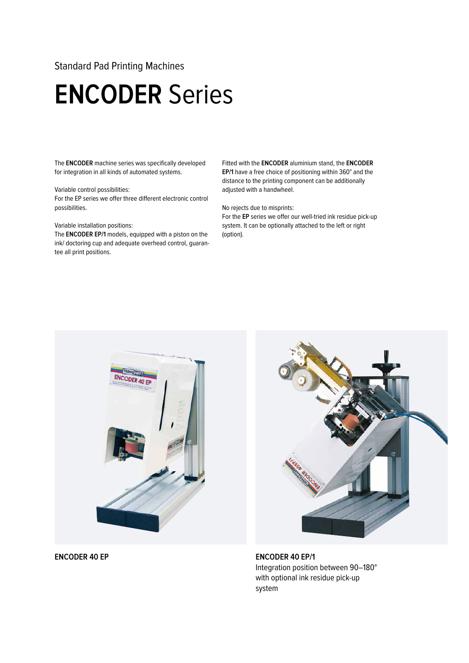### Standard Pad Printing Machines

# **ENCODER** Series

The **ENCODER** machine series was specifically developed for integration in all kinds of automated systems.

#### Variable control possibilities:

For the EP series we offer three different electronic control possibilities.

#### Variable installation positions:

The **ENCODER EP/1** models, equipped with a piston on the ink/ doctoring cup and adequate overhead control, guarantee all print positions.

Fitted with the **ENCODER** aluminium stand, the **ENCODER EP/1** have a free choice of positioning within 360° and the distance to the printing component can be additionally adjusted with a handwheel.

#### No rejects due to misprints:

For the **EP** series we offer our well-tried ink residue pick-up system. It can be optionally attached to the left or right (option).





**ENCODER 40 EP ENCODER 40 EP/1** Integration position between 90–180° with optional ink residue pick-up system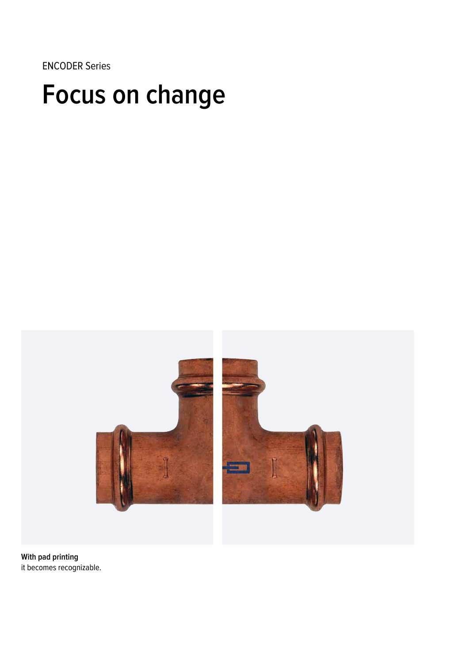ENCODER Series

# **Focus on change**



**With pad printing** it becomes recognizable.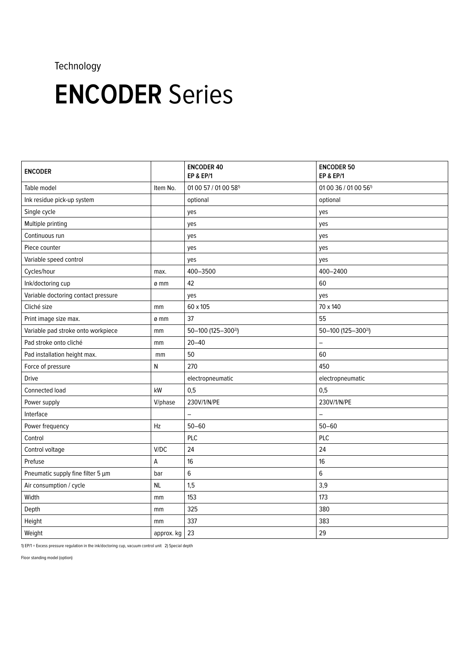## Technology

# **ENCODER** Series

| <b>ENCODER</b>                      |            | <b>ENCODER 40</b><br><b>EP &amp; EP/1</b> | <b>ENCODER 50</b><br><b>EP &amp; EP/1</b> |
|-------------------------------------|------------|-------------------------------------------|-------------------------------------------|
| Table model                         | Item No.   | 01 00 57 / 01 00 58 <sup>1)</sup>         | 01 00 36 / 01 00 56 <sup>1)</sup>         |
| Ink residue pick-up system          |            | optional                                  | optional                                  |
| Single cycle                        |            | yes                                       | yes                                       |
| Multiple printing                   |            | yes                                       | yes                                       |
| Continuous run                      |            | yes                                       | yes                                       |
| Piece counter                       |            | yes                                       | yes                                       |
| Variable speed control              |            | yes                                       | yes                                       |
| Cycles/hour                         | max.       | 400-3500                                  | 400-2400                                  |
| Ink/doctoring cup                   | ø mm       | 42                                        | 60                                        |
| Variable doctoring contact pressure |            | yes                                       | yes                                       |
| Cliché size                         | mm         | 60 x 105                                  | 70 x 140                                  |
| Print image size max.               | ø mm       | 37                                        | 55                                        |
| Variable pad stroke onto workpiece  | mm         | 50-100 (125-300 <sup>2)</sup> )           | 50-100 (125-300 <sup>2)</sup> )           |
| Pad stroke onto cliché              | mm         | $20 - 40$                                 | $\overline{\phantom{0}}$                  |
| Pad installation height max.        | mm         | 50                                        | 60                                        |
| Force of pressure                   | Ν          | 270                                       | 450                                       |
| <b>Drive</b>                        |            | electropneumatic                          | electropneumatic                          |
| Connected load                      | kW         | 0,5                                       | 0,5                                       |
| Power supply                        | V/phase    | 230V/1/N/PE                               | 230V/1/N/PE                               |
| Interface                           |            | $\qquad \qquad -$                         | $\overline{\phantom{0}}$                  |
| Power frequency                     | Hz         | $50 - 60$                                 | $50 - 60$                                 |
| Control                             |            | PLC                                       | PLC                                       |
| Control voltage                     | V/DC       | 24                                        | 24                                        |
| Prefuse                             | А          | 16                                        | 16                                        |
| Pneumatic supply fine filter 5 µm   | bar        | $\,6$                                     | 6                                         |
| Air consumption / cycle             | <b>NL</b>  | 1,5                                       | 3,9                                       |
| Width                               | mm         | 153                                       | 173                                       |
| Depth                               | mm         | 325                                       | 380                                       |
| Height                              | mm         | 337                                       | 383                                       |
| Weight                              | approx. kg | 23                                        | 29                                        |

1) EP/1 = Excess pressure regulation in the ink/doctoring cup, vacuum control unit 2) Special depth

Floor standing model (option)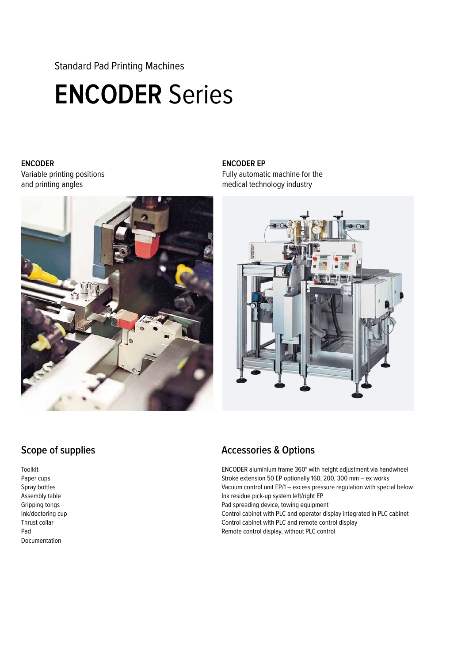Standard Pad Printing Machines

# **ENCODER** Series

### **ENCODER**  Variable printing positions and printing angles



### **ENCODER EP**

Fully automatic machine for the medical technology industry

![](_page_4_Picture_6.jpeg)

## **Scope of supplies**

Toolkit Paper cups Spray bottles Assembly table Gripping tongs Ink/doctoring cup Thrust collar Pad Documentation

## **Accessories & Options**

ENCODER aluminium frame 360° with height adjustment via handwheel Stroke extension 50 EP optionally 160, 200, 300 mm – ex works Vacuum control unit EP/1 – excess pressure regulation with special below Ink residue pick-up system left/right EP Pad spreading device, towing equipment Control cabinet with PLC and operator display integrated in PLC cabinet Control cabinet with PLC and remote control display Remote control display, without PLC control